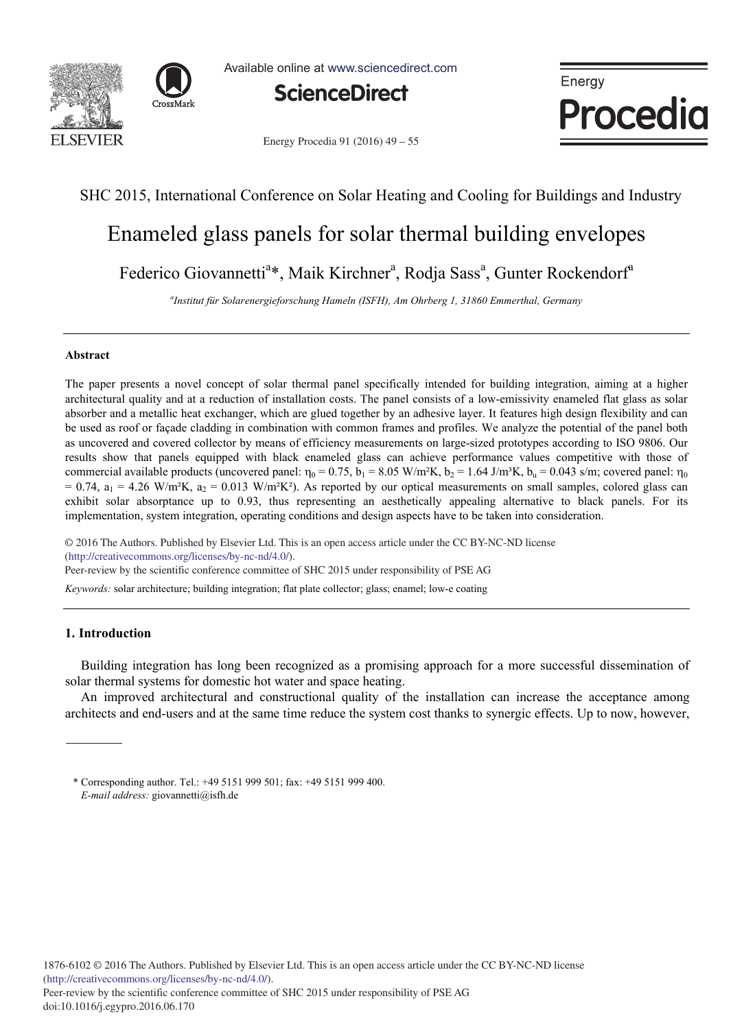



Available online at www.sciencedirect.com



Energy Procedia 91 (2016) 49 – 55



# SHC 2015, International Conference on Solar Heating and Cooling for Buildings and Industry

# Enameled glass panels for solar thermal building envelopes

Federico Giovannetti<sup>a</sup>\*, Maik Kirchner<sup>a</sup>, Rodja Sass<sup>a</sup>, Gunter Rockendorf<sup>a</sup>

*a Institut für Solarenergieforschung Hameln (ISFH), Am Ohrberg 1, 31860 Emmerthal, Germany* 

## **Abstract**

The paper presents a novel concept of solar thermal panel specifically intended for building integration, aiming at a higher architectural quality and at a reduction of installation costs. The panel consists of a low-emissivity enameled flat glass as solar absorber and a metallic heat exchanger, which are glued together by an adhesive layer. It features high design flexibility and can be used as roof or façade cladding in combination with common frames and profiles. We analyze the potential of the panel both as uncovered and covered collector by means of efficiency measurements on large-sized prototypes according to ISO 9806. Our results show that panels equipped with black enameled glass can achieve performance values competitive with those of commercial available products (uncovered panel:  $\eta_0 = 0.75$ ,  $b_1 = 8.05$  W/m<sup>2</sup>K,  $b_2 = 1.64$  J/m<sup>3</sup>K,  $b_u = 0.043$  s/m; covered panel:  $\eta_0$  $= 0.74$ ,  $a_1 = 4.26$  W/m<sup>2</sup>K,  $a_2 = 0.013$  W/m<sup>2</sup>K<sup>2</sup>). As reported by our optical measurements on small samples, colored glass can exhibit solar absorptance up to 0.93, thus representing an aesthetically appealing alternative to black panels. For its implementation, system integration, operating conditions and design aspects have to be taken into consideration.

© 2015 The Authors. Published by Elsevier Ltd. © 2016 The Authors. Published by Elsevier Ltd. This is an open access article under the CC BY-NC-ND license (nttp://creativecommons.org/icenses/by-nc-na/4.0/).<br>Peer-review by the scientific conference committee of SHC 2015 under responsibility of PSE AG (http://creativecommons.org/licenses/by-nc-nd/4.0/).

*Keywords:* solar architecture; building integration; flat plate collector; glass; enamel; low-e coating

# **1. Introduction**

Building integration has long been recognized as a promising approach for a more successful dissemination of solar thermal systems for domestic hot water and space heating.

An improved architectural and constructional quality of the installation can increase the acceptance among architects and end-users and at the same time reduce the system cost thanks to synergic effects. Up to now, however,

<sup>\*</sup> Corresponding author. Tel.: +49 5151 999 501; fax: +49 5151 999 400. *E-mail address:* giovannetti@isfh.de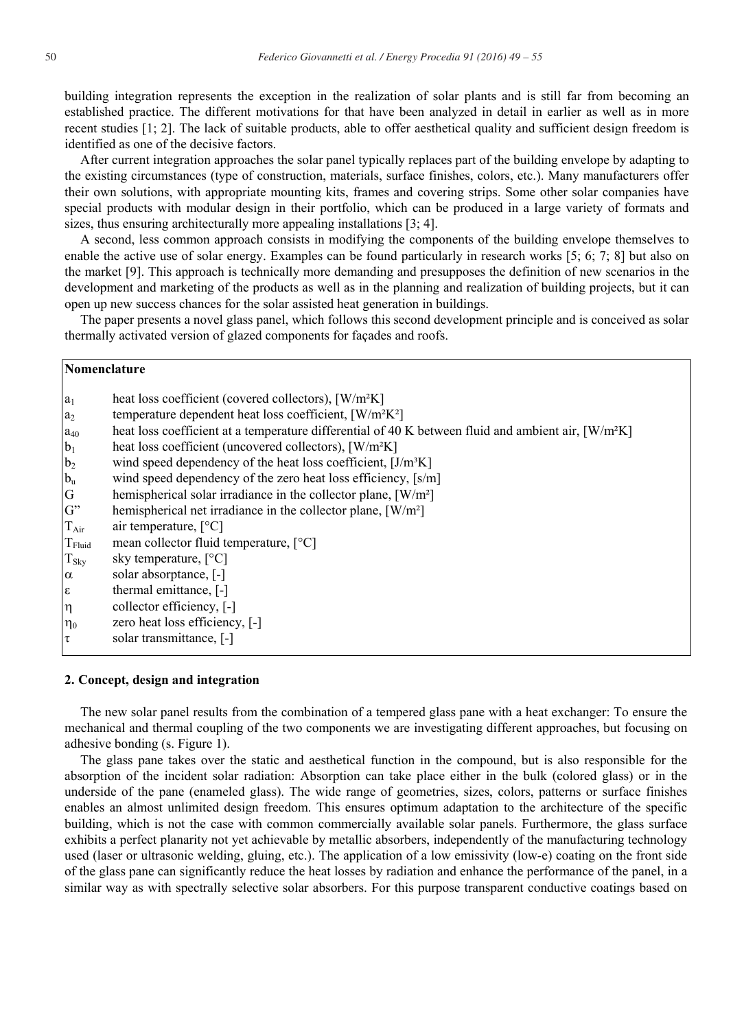building integration represents the exception in the realization of solar plants and is still far from becoming an established practice. The different motivations for that have been analyzed in detail in earlier as well as in more recent studies [1; 2]. The lack of suitable products, able to offer aesthetical quality and sufficient design freedom is identified as one of the decisive factors.

After current integration approaches the solar panel typically replaces part of the building envelope by adapting to the existing circumstances (type of construction, materials, surface finishes, colors, etc.). Many manufacturers offer their own solutions, with appropriate mounting kits, frames and covering strips. Some other solar companies have special products with modular design in their portfolio, which can be produced in a large variety of formats and sizes, thus ensuring architecturally more appealing installations [3; 4].

A second, less common approach consists in modifying the components of the building envelope themselves to enable the active use of solar energy. Examples can be found particularly in research works [5; 6; 7; 8] but also on the market [9]. This approach is technically more demanding and presupposes the definition of new scenarios in the development and marketing of the products as well as in the planning and realization of building projects, but it can open up new success chances for the solar assisted heat generation in buildings.

The paper presents a novel glass panel, which follows this second development principle and is conceived as solar thermally activated version of glazed components for façades and roofs.

## **Nomenclature**

| $ a_1 $            | heat loss coefficient (covered collectors), [W/m <sup>2</sup> K]                                                |
|--------------------|-----------------------------------------------------------------------------------------------------------------|
| $a_2$              | temperature dependent heat loss coefficient, [W/m <sup>2</sup> K <sup>2</sup> ]                                 |
| $a_{40}$           | heat loss coefficient at a temperature differential of 40 K between fluid and ambient air, [W/m <sup>2</sup> K] |
| $b_1$              | heat loss coefficient (uncovered collectors), [W/m <sup>2</sup> K]                                              |
| b <sub>2</sub>     | wind speed dependency of the heat loss coefficient, [J/m <sup>3</sup> K]                                        |
| $b_u$              | wind speed dependency of the zero heat loss efficiency, [s/m]                                                   |
| G                  | hemispherical solar irradiance in the collector plane, $\lceil W/m^2 \rceil$                                    |
| $G^"$              | hemispherical net irradiance in the collector plane, $\lceil W/m^2 \rceil$                                      |
| $T_{Air}$          | air temperature, $[°C]$                                                                                         |
| $T_{\text{Fluid}}$ | mean collector fluid temperature, [°C]                                                                          |
| $T_{\rm Sky}$      | sky temperature, $[^{\circ}C]$                                                                                  |
| $\alpha$           | solar absorptance, [-]                                                                                          |
| $\epsilon$         | thermal emittance, [-]                                                                                          |
| Iη                 | collector efficiency, [-]                                                                                       |
| $\eta_0$           | zero heat loss efficiency, [-]                                                                                  |
| Iτ                 | solar transmittance, [-]                                                                                        |
|                    |                                                                                                                 |

# **2. Concept, design and integration**

The new solar panel results from the combination of a tempered glass pane with a heat exchanger: To ensure the mechanical and thermal coupling of the two components we are investigating different approaches, but focusing on adhesive bonding (s. Figure 1).

The glass pane takes over the static and aesthetical function in the compound, but is also responsible for the absorption of the incident solar radiation: Absorption can take place either in the bulk (colored glass) or in the underside of the pane (enameled glass). The wide range of geometries, sizes, colors, patterns or surface finishes enables an almost unlimited design freedom. This ensures optimum adaptation to the architecture of the specific building, which is not the case with common commercially available solar panels. Furthermore, the glass surface exhibits a perfect planarity not yet achievable by metallic absorbers, independently of the manufacturing technology used (laser or ultrasonic welding, gluing, etc.). The application of a low emissivity (low-e) coating on the front side of the glass pane can significantly reduce the heat losses by radiation and enhance the performance of the panel, in a similar way as with spectrally selective solar absorbers. For this purpose transparent conductive coatings based on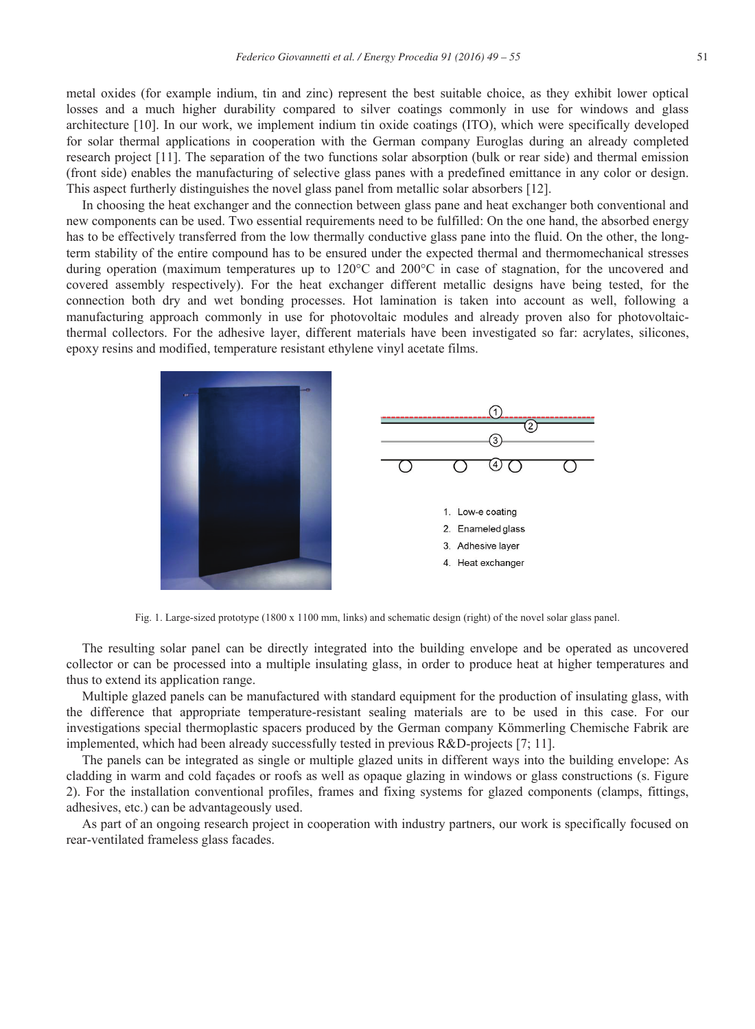metal oxides (for example indium, tin and zinc) represent the best suitable choice, as they exhibit lower optical losses and a much higher durability compared to silver coatings commonly in use for windows and glass architecture [10]. In our work, we implement indium tin oxide coatings (ITO), which were specifically developed for solar thermal applications in cooperation with the German company Euroglas during an already completed research project [11]. The separation of the two functions solar absorption (bulk or rear side) and thermal emission (front side) enables the manufacturing of selective glass panes with a predefined emittance in any color or design. This aspect furtherly distinguishes the novel glass panel from metallic solar absorbers [12].

In choosing the heat exchanger and the connection between glass pane and heat exchanger both conventional and new components can be used. Two essential requirements need to be fulfilled: On the one hand, the absorbed energy has to be effectively transferred from the low thermally conductive glass pane into the fluid. On the other, the longterm stability of the entire compound has to be ensured under the expected thermal and thermomechanical stresses during operation (maximum temperatures up to 120°C and 200°C in case of stagnation, for the uncovered and covered assembly respectively). For the heat exchanger different metallic designs have being tested, for the connection both dry and wet bonding processes. Hot lamination is taken into account as well, following a manufacturing approach commonly in use for photovoltaic modules and already proven also for photovoltaicthermal collectors. For the adhesive layer, different materials have been investigated so far: acrylates, silicones, epoxy resins and modified, temperature resistant ethylene vinyl acetate films.



Fig. 1. Large-sized prototype (1800 x 1100 mm, links) and schematic design (right) of the novel solar glass panel.

The resulting solar panel can be directly integrated into the building envelope and be operated as uncovered collector or can be processed into a multiple insulating glass, in order to produce heat at higher temperatures and thus to extend its application range.

Multiple glazed panels can be manufactured with standard equipment for the production of insulating glass, with the difference that appropriate temperature-resistant sealing materials are to be used in this case. For our investigations special thermoplastic spacers produced by the German company Kömmerling Chemische Fabrik are implemented, which had been already successfully tested in previous R&D-projects [7; 11].

The panels can be integrated as single or multiple glazed units in different ways into the building envelope: As cladding in warm and cold façades or roofs as well as opaque glazing in windows or glass constructions (s. Figure 2). For the installation conventional profiles, frames and fixing systems for glazed components (clamps, fittings, adhesives, etc.) can be advantageously used.

As part of an ongoing research project in cooperation with industry partners, our work is specifically focused on rear-ventilated frameless glass facades.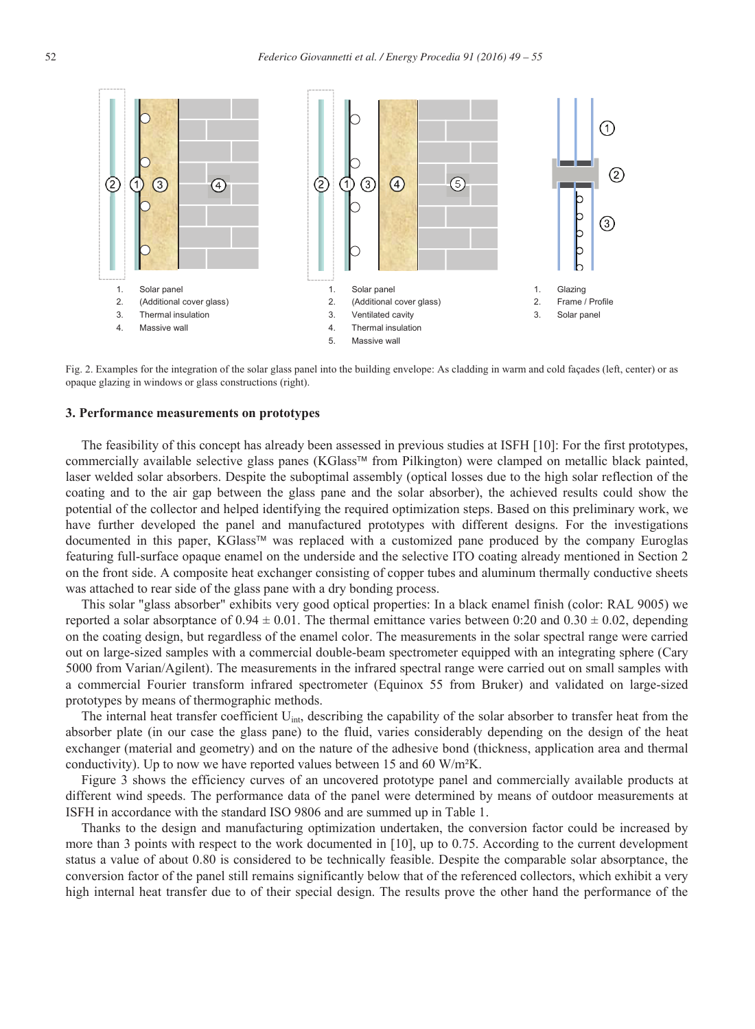

Fig. 2. Examples for the integration of the solar glass panel into the building envelope: As cladding in warm and cold façades (left, center) or as opaque glazing in windows or glass constructions (right).

### **3. Performance measurements on prototypes**

The feasibility of this concept has already been assessed in previous studies at ISFH [10]: For the first prototypes, commercially available selective glass panes (KGlass™ from Pilkington) were clamped on metallic black painted, laser welded solar absorbers. Despite the suboptimal assembly (optical losses due to the high solar reflection of the coating and to the air gap between the glass pane and the solar absorber), the achieved results could show the potential of the collector and helped identifying the required optimization steps. Based on this preliminary work, we have further developed the panel and manufactured prototypes with different designs. For the investigations documented in this paper, KGlass™ was replaced with a customized pane produced by the company Euroglas featuring full-surface opaque enamel on the underside and the selective ITO coating already mentioned in Section 2 on the front side. A composite heat exchanger consisting of copper tubes and aluminum thermally conductive sheets was attached to rear side of the glass pane with a dry bonding process.

This solar "glass absorber" exhibits very good optical properties: In a black enamel finish (color: RAL 9005) we reported a solar absorptance of 0.94  $\pm$  0.01. The thermal emittance varies between 0:20 and 0.30  $\pm$  0.02, depending on the coating design, but regardless of the enamel color. The measurements in the solar spectral range were carried out on large-sized samples with a commercial double-beam spectrometer equipped with an integrating sphere (Cary 5000 from Varian/Agilent). The measurements in the infrared spectral range were carried out on small samples with a commercial Fourier transform infrared spectrometer (Equinox 55 from Bruker) and validated on large-sized prototypes by means of thermographic methods.

The internal heat transfer coefficient  $U_{\text{int}}$ , describing the capability of the solar absorber to transfer heat from the absorber plate (in our case the glass pane) to the fluid, varies considerably depending on the design of the heat exchanger (material and geometry) and on the nature of the adhesive bond (thickness, application area and thermal conductivity). Up to now we have reported values between 15 and 60 W/m²K.

Figure 3 shows the efficiency curves of an uncovered prototype panel and commercially available products at different wind speeds. The performance data of the panel were determined by means of outdoor measurements at ISFH in accordance with the standard ISO 9806 and are summed up in Table 1.

Thanks to the design and manufacturing optimization undertaken, the conversion factor could be increased by more than 3 points with respect to the work documented in [10], up to 0.75. According to the current development status a value of about 0.80 is considered to be technically feasible. Despite the comparable solar absorptance, the conversion factor of the panel still remains significantly below that of the referenced collectors, which exhibit a very high internal heat transfer due to of their special design. The results prove the other hand the performance of the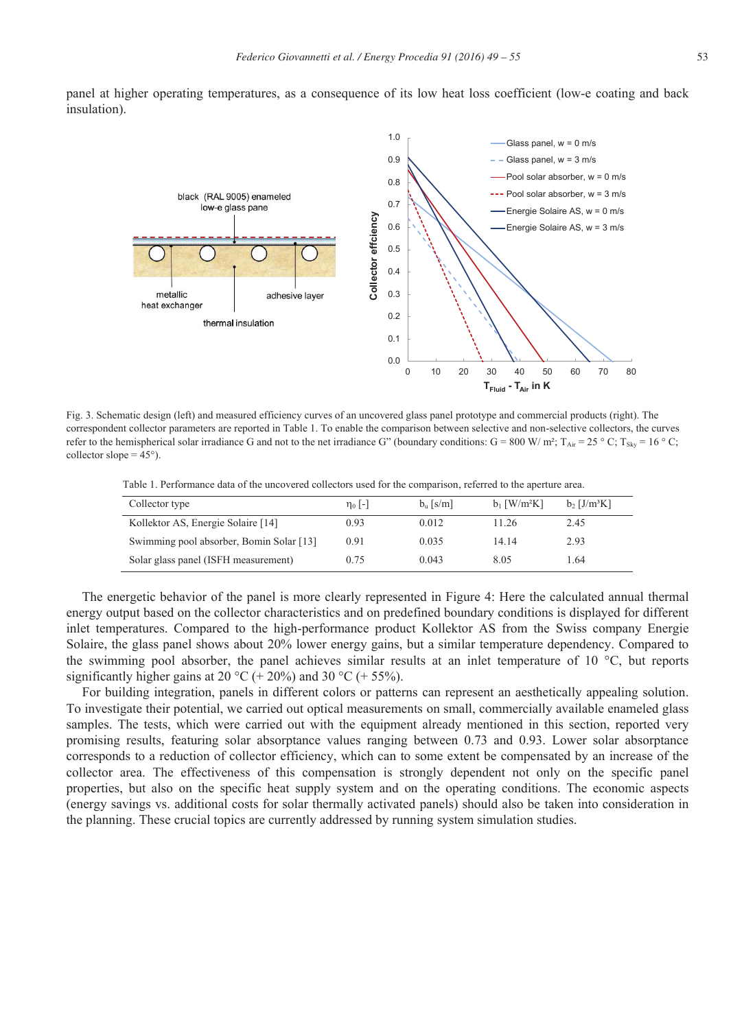



Fig. 3. Schematic design (left) and measured efficiency curves of an uncovered glass panel prototype and commercial products (right). The correspondent collector parameters are reported in Table 1. To enable the comparison between selective and non-selective collectors, the curves refer to the hemispherical solar irradiance G and not to the net irradiance G" (boundary conditions: G = 800 W/ m²; T<sub>Air</sub> = 25 ° C; T<sub>Sky</sub> = 16 ° C; collector slope  $= 45^{\circ}$ ).

Table 1. Performance data of the uncovered collectors used for the comparison, referred to the aperture area.

| Collector type                           | $\eta_0$  - | $b_n$ [s/m] | $b_1$ [W/m <sup>2</sup> K] | $b$ , [J/m <sup>3</sup> K] |
|------------------------------------------|-------------|-------------|----------------------------|----------------------------|
| Kollektor AS, Energie Solaire [14]       | 0.93        | 0.012       | 11.26                      | 2.45                       |
| Swimming pool absorber, Bomin Solar [13] | 0.91        | 0.035       | 14.14                      | 2.93                       |
| Solar glass panel (ISFH measurement)     | 0.75        | 0.043       | 8.05                       | 1.64                       |

The energetic behavior of the panel is more clearly represented in Figure 4: Here the calculated annual thermal energy output based on the collector characteristics and on predefined boundary conditions is displayed for different inlet temperatures. Compared to the high-performance product Kollektor AS from the Swiss company Energie Solaire, the glass panel shows about 20% lower energy gains, but a similar temperature dependency. Compared to the swimming pool absorber, the panel achieves similar results at an inlet temperature of 10 °C, but reports significantly higher gains at 20 °C (+ 20%) and 30 °C (+ 55%).

For building integration, panels in different colors or patterns can represent an aesthetically appealing solution. To investigate their potential, we carried out optical measurements on small, commercially available enameled glass samples. The tests, which were carried out with the equipment already mentioned in this section, reported very promising results, featuring solar absorptance values ranging between 0.73 and 0.93. Lower solar absorptance corresponds to a reduction of collector efficiency, which can to some extent be compensated by an increase of the collector area. The effectiveness of this compensation is strongly dependent not only on the specific panel properties, but also on the specific heat supply system and on the operating conditions. The economic aspects (energy savings vs. additional costs for solar thermally activated panels) should also be taken into consideration in the planning. These crucial topics are currently addressed by running system simulation studies.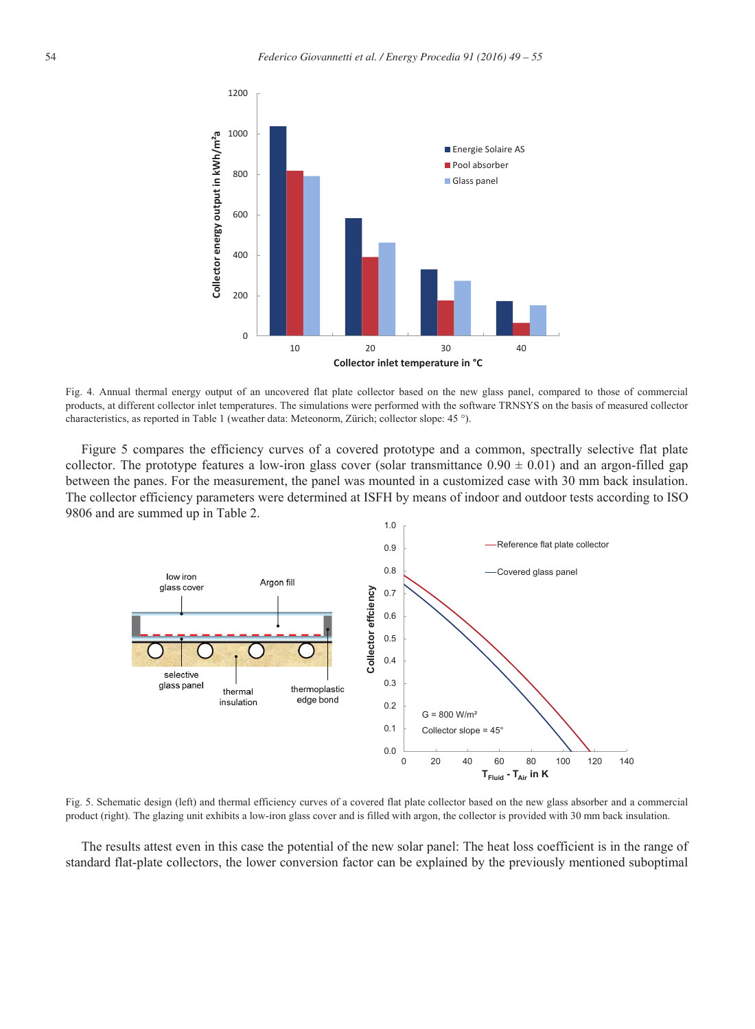

Fig. 4. Annual thermal energy output of an uncovered flat plate collector based on the new glass panel, compared to those of commercial products, at different collector inlet temperatures. The simulations were performed with the software TRNSYS on the basis of measured collector characteristics, as reported in Table 1 (weather data: Meteonorm, Zürich; collector slope: 45 °).

Figure 5 compares the efficiency curves of a covered prototype and a common, spectrally selective flat plate collector. The prototype features a low-iron glass cover (solar transmittance  $0.90 \pm 0.01$ ) and an argon-filled gap between the panes. For the measurement, the panel was mounted in a customized case with 30 mm back insulation. The collector efficiency parameters were determined at ISFH by means of indoor and outdoor tests according to ISO 9806 and are summed up in Table 2.



Fig. 5. Schematic design (left) and thermal efficiency curves of a covered flat plate collector based on the new glass absorber and a commercial product (right). The glazing unit exhibits a low-iron glass cover and is filled with argon, the collector is provided with 30 mm back insulation.

The results attest even in this case the potential of the new solar panel: The heat loss coefficient is in the range of standard flat-plate collectors, the lower conversion factor can be explained by the previously mentioned suboptimal